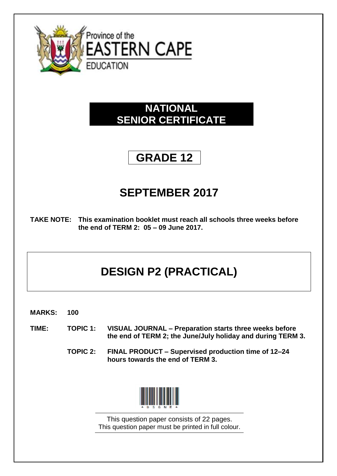

# **NATIONAL SENIOR CERTIFICATE**

# **GRADE 12**

# **SEPTEMBER 2017**

**TAKE NOTE: This examination booklet must reach all schools three weeks before the end of TERM 2: 05 – 09 June 2017.**

# **DESIGN P2 (PRACTICAL)**

- **MARKS: 100**
- **TIME: TOPIC 1: VISUAL JOURNAL – Preparation starts three weeks before the end of TERM 2; the June/July holiday and during TERM 3.**
	- **TOPIC 2: FINAL PRODUCT – Supervised production time of 12–24 hours towards the end of TERM 3.**



This question paper consists of 22 pages. This question paper must be printed in full colour.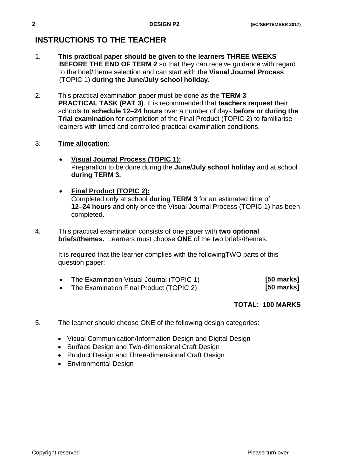# **INSTRUCTIONS TO THE TEACHER**

- 1. **This practical paper should be given to the learners THREE WEEKS BEFORE THE END OF TERM 2** so that they can receive guidance with regard to the brief/theme selection and can start with the **Visual Journal Process**  (TOPIC 1) **during the June/July school holiday.**
- 2. This practical examination paper must be done as the **TERM 3 PRACTICAL TASK (PAT 3)**. It is recommended that **teachers request** their schools **to schedule 12–24 hours** over a number of days **before or during the Trial examination** for completion of the Final Product (TOPIC 2) to familiarise learners with timed and controlled practical examination conditions.
- 3. **Time allocation:**
	- **Visual Journal Process (TOPIC 1):** Preparation to be done during the **June/July school holiday** and at school **during TERM 3.**
	- **Final Product (TOPIC 2):** Completed only at school **during TERM 3** for an estimated time of **12–24 hours** and only once the Visual Journal Process (TOPIC 1) has been completed.
- 4. This practical examination consists of one paper with **two optional briefs/themes.** Learners must choose **ONE** of the two briefs/themes.

It is required that the learner complies with the followingTWO parts of this question paper:

| The Examination Visual Journal (TOPIC 1) | $[50$ marks] |
|------------------------------------------|--------------|
|                                          |              |

• The Examination Final Product (TOPIC 2)

 **[50 marks]**

## **TOTAL: 100 MARKS**

- 5. The learner should choose ONE of the following design categories:
	- Visual Communication/Information Design and Digital Design
	- Surface Design and Two-dimensional Craft Design
	- Product Design and Three-dimensional Craft Design
	- Environmental Design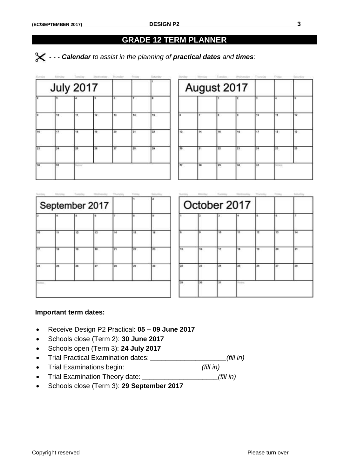## **GRADE 12 TERM PLANNER**

 *- - - Calendar to assist in the planning of practical dates and times:*

| <b>Garriso</b> | <b><i><u>R. By Lin</u></i></b> | Tematics  | Weimastay | Titamellay |      | Batarday |  |
|----------------|--------------------------------|-----------|-----------|------------|------|----------|--|
|                | <b>July 2017</b>               |           |           |            |      |          |  |
|                |                                |           | в         | 也.         | ÷    | ٠        |  |
| ۰              | 10                             | <b>TE</b> | 12.       | 13         | 14   | 15       |  |
| 16             | 17                             | 18        | 19        | 20         | 21   | 22       |  |
| 23             | 24                             | 25        | 26        | 27         | $28$ | 29       |  |
| 30             | 31                             | 1/2       |           |            |      |          |  |
|                |                                |           |           |            |      |          |  |

| August 2017 |    |          |     |    |                      |    |  |
|-------------|----|----------|-----|----|----------------------|----|--|
|             |    |          |     | ı  | $\blacktriangleleft$ | ь  |  |
| l6          | т. | <b>a</b> | Į9. | 10 | Ħ.                   | 12 |  |
| 13          | 14 | 15       | 16  | 12 | 18                   | 19 |  |
| 20          | 21 | 22       | 23  | 24 | 25                   | 26 |  |
| 27          | 28 | 29       | 30  | 31 | <b>WORLD</b>         |    |  |
|             |    |          |     |    |                      |    |  |

|    |    |    | September 2017 |        |    |    |
|----|----|----|----------------|--------|----|----|
| ь  | Æ. | в  | ١m             | $\tau$ | ı  |    |
|    | tt | 12 | 13             | 14     | 15 | 16 |
| 17 | 18 | 13 | 28             | 21     | 22 | 23 |
| 24 | 25 | 26 | 27             | 28     | 28 | 30 |

|    |    |    | October 2017 |    |    |    |
|----|----|----|--------------|----|----|----|
| ٠  | z  | э. |              | s. | s. | Ŧ  |
| в  | m  | 10 | Ħ            | 12 | 13 | 14 |
| 15 | 16 | 17 | 18           | 19 | 20 | 21 |
| 22 | 23 | 34 | 25           | 26 | 27 | 28 |
| 29 | 30 | 21 |              |    |    |    |

#### **Important term dates:**

- Receive Design P2 Practical: **05 – 09 June 2017**
- Schools close (Term 2): **30 June 2017**
- Schools open (Term 3): **24 July 2017**
- Trial Practical Examination dates: *\_\_\_\_\_\_\_\_\_\_\_\_\_\_\_\_\_\_\_\_(fill in)*
- Trial Examinations begin: *\_\_\_\_\_\_\_\_\_\_\_\_\_\_\_\_\_\_\_\_(fill in)*
- Trial Examination Theory date: *\_\_\_\_\_\_\_\_\_\_\_\_\_\_\_\_\_\_\_\_(fill in)*
- Schools close (Term 3): **29 September 2017**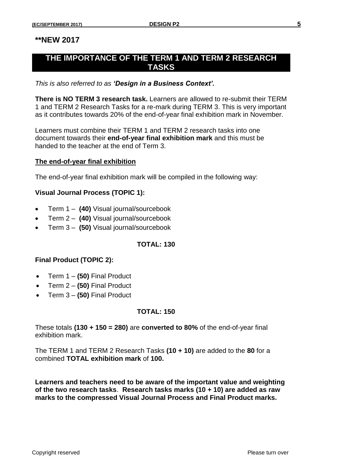## **\*\*NEW 2017**

# **THE IMPORTANCE OF THE TERM 1 AND TERM 2 RESEARCH TASKS**

#### *This is also referred to as 'Design in a Business Context'.*

**There is NO TERM 3 research task.** Learners are allowed to re-submit their TERM 1 and TERM 2 Research Tasks for a re-mark during TERM 3. This is very important as it contributes towards 20% of the end-of-year final exhibition mark in November.

Learners must combine their TERM 1 and TERM 2 research tasks into one document towards their **end-of-year final exhibition mark** and this must be handed to the teacher at the end of Term 3.

#### **The end-of-year final exhibition**

The end-of-year final exhibition mark will be compiled in the following way:

#### **Visual Journal Process (TOPIC 1):**

- Term 1 **(40)** Visual journal/sourcebook
- Term 2 **(40)** Visual journal/sourcebook
- Term 3 **(50)** Visual journal/sourcebook

#### **TOTAL: 130**

#### **Final Product (TOPIC 2):**

- Term 1 **(50)** Final Product
- Term 2 **(50)** Final Product
- Term 3 **(50)** Final Product

#### **TOTAL: 150**

These totals **(130 + 150 = 280)** are **converted to 80%** of the end-of-year final exhibition mark.

The TERM 1 and TERM 2 Research Tasks **(10 + 10)** are added to the **80** for a combined **TOTAL exhibition mark** of **100.**

**Learners and teachers need to be aware of the important value and weighting of the two research tasks**. **Research tasks marks (10 + 10) are added as raw marks to the compressed Visual Journal Process and Final Product marks.**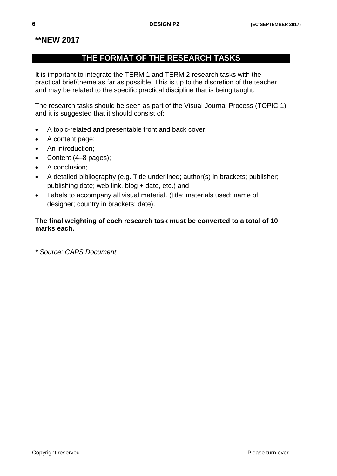# **\*\*NEW 2017**

# **THE FORMAT OF THE RESEARCH TASKS**

It is important to integrate the TERM 1 and TERM 2 research tasks with the practical brief/theme as far as possible. This is up to the discretion of the teacher and may be related to the specific practical discipline that is being taught.

The research tasks should be seen as part of the Visual Journal Process (TOPIC 1) and it is suggested that it should consist of:

- A topic-related and presentable front and back cover;
- A content page;
- An introduction;
- Content (4–8 pages);
- A conclusion;
- A detailed bibliography (e.g. Title underlined; author(s) in brackets; publisher; publishing date; web link, blog + date, etc.) and
- Labels to accompany all visual material. (title; materials used; name of designer; country in brackets; date).

### **The final weighting of each research task must be converted to a total of 10 marks each.**

*\* Source: CAPS Document*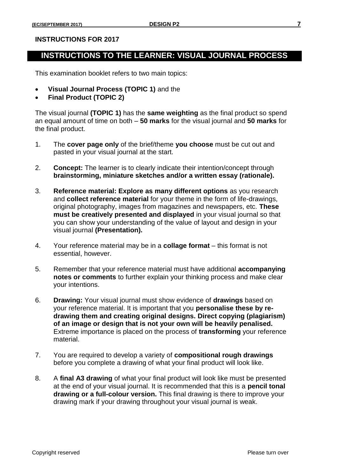#### **INSTRUCTIONS FOR 2017**

# **INSTRUCTIONS TO THE LEARNER: VISUAL JOURNAL PROCESS**

This examination booklet refers to two main topics:

- **Visual Journal Process (TOPIC 1)** and the
- **Final Product (TOPIC 2)**

The visual journal **(TOPIC 1)** has the **same weighting** as the final product so spend an equal amount of time on both – **50 marks** for the visual journal and **50 marks** for the final product.

- 1. The **cover page only** of the brief/theme **you choose** must be cut out and pasted in your visual journal at the start.
- 2. **Concept:** The learner is to clearly indicate their intention/concept through **brainstorming, miniature sketches and/or a written essay (rationale).**
- 3. **Reference material: Explore as many different options** as you research and **collect reference material** for your theme in the form of life-drawings, original photography, images from magazines and newspapers, etc. **These must be creatively presented and displayed** in your visual journal so that you can show your understanding of the value of layout and design in your visual journal **(Presentation).**
- 4. Your reference material may be in a **collage format**  this format is not essential, however.
- 5. Remember that your reference material must have additional **accompanying notes or comments** to further explain your thinking process and make clear your intentions.
- 6. **Drawing:** Your visual journal must show evidence of **drawings** based on your reference material. It is important that you **personalise these by redrawing them and creating original designs. Direct copying (plagiarism) of an image or design that is not your own will be heavily penalised.**  Extreme importance is placed on the process of **transforming** your reference material.
- 7. You are required to develop a variety of **compositional rough drawings** before you complete a drawing of what your final product will look like.
- 8. A **final A3 drawing** of what your final product will look like must be presented at the end of your visual journal. It is recommended that this is a **pencil tonal drawing or a full-colour version.** This final drawing is there to improve your drawing mark if your drawing throughout your visual journal is weak.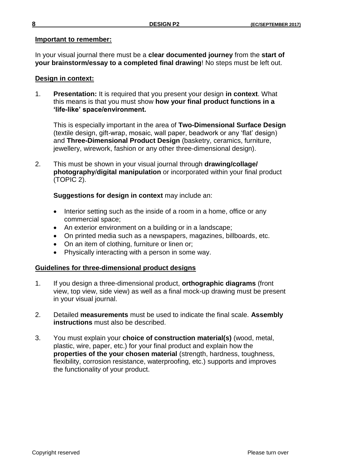#### **Important to remember:**

In your visual journal there must be a **clear documented journey** from the **start of your brainstorm/essay to a completed final drawing**! No steps must be left out.

#### **Design in context:**

1. **Presentation:** It is required that you present your design **in context**. What this means is that you must show **how your final product functions in a 'life-like' space/environment.**

This is especially important in the area of **Two-Dimensional Surface Design** (textile design, gift-wrap, mosaic, wall paper, beadwork or any 'flat' design) and **Three-Dimensional Product Design** (basketry, ceramics, furniture, jewellery, wirework, fashion or any other three-dimensional design).

2. This must be shown in your visual journal through **drawing/collage/ photography**/**digital manipulation** or incorporated within your final product (TOPIC 2).

**Suggestions for design in context** may include an:

- Interior setting such as the inside of a room in a home, office or any commercial space;
- An exterior environment on a building or in a landscape;
- On printed media such as a newspapers, magazines, billboards, etc.
- On an item of clothing, furniture or linen or;
- Physically interacting with a person in some way.

#### **Guidelines for three-dimensional product designs**

- 1. If you design a three-dimensional product, **orthographic diagrams** (front view, top view, side view) as well as a final mock-up drawing must be present in your visual journal.
- 2. Detailed **measurements** must be used to indicate the final scale. **Assembly instructions** must also be described.
- 3. You must explain your **choice of construction material(s)** (wood, metal, plastic, wire, paper, etc.) for your final product and explain how the **properties of the your chosen material** (strength, hardness, toughness, flexibility, corrosion resistance, waterproofing, etc.) supports and improves the functionality of your product.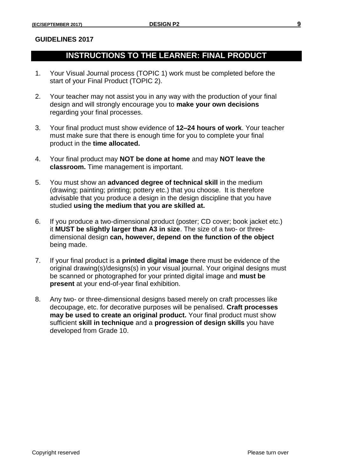#### **GUIDELINES 2017**

# **INSTRUCTIONS TO THE LEARNER: FINAL PRODUCT**

- 1. Your Visual Journal process (TOPIC 1) work must be completed before the start of your Final Product (TOPIC 2).
- 2. Your teacher may not assist you in any way with the production of your final design and will strongly encourage you to **make your own decisions** regarding your final processes.
- 3. Your final product must show evidence of **12–24 hours of work**. Your teacher must make sure that there is enough time for you to complete your final product in the **time allocated.**
- 4. Your final product may **NOT be done at home** and may **NOT leave the classroom.** Time management is important.
- 5. You must show an **advanced degree of technical skill** in the medium (drawing; painting; printing; pottery etc.) that you choose. It is therefore advisable that you produce a design in the design discipline that you have studied **using the medium that you are skilled at.**
- 6. If you produce a two-dimensional product (poster; CD cover; book jacket etc.) it **MUST be slightly larger than A3 in size**. The size of a two- or threedimensional design **can, however, depend on the function of the object** being made.
- 7. If your final product is a **printed digital image** there must be evidence of the original drawing(s)/designs(s) in your visual journal. Your original designs must be scanned or photographed for your printed digital image and **must be present** at your end-of-year final exhibition.
- 8. Any two- or three-dimensional designs based merely on craft processes like decoupage, etc. for decorative purposes will be penalised. **Craft processes may be used to create an original product.** Your final product must show sufficient **skill in technique** and a **progression of design skills** you have developed from Grade 10.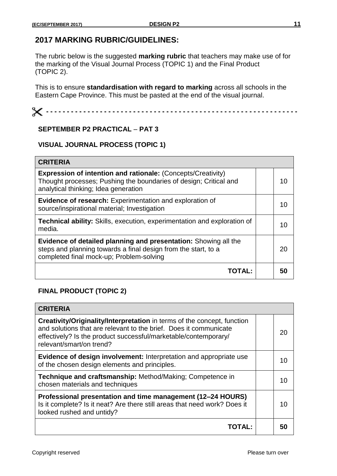# **2017 MARKING RUBRIC/GUIDELINES:**

The rubric below is the suggested **marking rubric** that teachers may make use of for the marking of the Visual Journal Process (TOPIC 1) and the Final Product (TOPIC 2).

This is to ensure **standardisation with regard to marking** across all schools in the Eastern Cape Province. This must be pasted at the end of the visual journal.

 **- - - - - - - - - - - - - - - - - - - - - - - - - - - - - - - - - - - - - - - - - - - - - - - - - - - - - - - - - - - - -**

#### **SEPTEMBER P2 PRACTICAL** – **PAT 3**

#### **VISUAL JOURNAL PROCESS (TOPIC 1)**

| <b>CRITERIA</b>                                                                                                                                                                  |  |    |
|----------------------------------------------------------------------------------------------------------------------------------------------------------------------------------|--|----|
| <b>Expression of intention and rationale: (Concepts/Creativity)</b><br>Thought processes; Pushing the boundaries of design; Critical and<br>analytical thinking; Idea generation |  | 10 |
| <b>Evidence of research:</b> Experimentation and exploration of<br>source/inspirational material; Investigation                                                                  |  | 10 |
| Technical ability: Skills, execution, experimentation and exploration of<br>media.                                                                                               |  | 10 |
| Evidence of detailed planning and presentation: Showing all the<br>steps and planning towards a final design from the start, to a<br>completed final mock-up; Problem-solving    |  | 20 |
| <b>TOTAL:</b>                                                                                                                                                                    |  | 50 |

#### **FINAL PRODUCT (TOPIC 2)**

| <b>CRITERIA</b>                                                                                                                                                                                                                                    |    |
|----------------------------------------------------------------------------------------------------------------------------------------------------------------------------------------------------------------------------------------------------|----|
| <b>Creativity/Originality/Interpretation</b> in terms of the concept, function<br>and solutions that are relevant to the brief. Does it communicate<br>effectively? Is the product successful/marketable/contemporary/<br>relevant/smart/on trend? | 20 |
| Evidence of design involvement: Interpretation and appropriate use<br>of the chosen design elements and principles.                                                                                                                                | 10 |
| Technique and craftsmanship: Method/Making; Competence in<br>chosen materials and techniques                                                                                                                                                       | 10 |
| Professional presentation and time management (12–24 HOURS)<br>Is it complete? Is it neat? Are there still areas that need work? Does it<br>looked rushed and untidy?                                                                              | 10 |
| ΤΟΤΑΙ :                                                                                                                                                                                                                                            | 50 |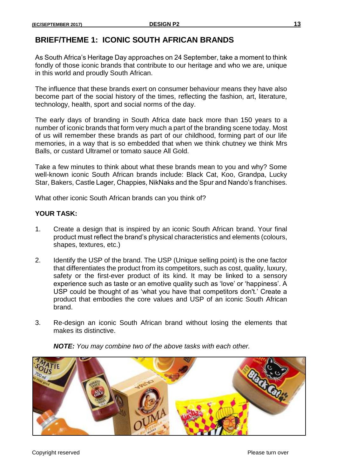# **BRIEF/THEME 1: ICONIC SOUTH AFRICAN BRANDS**

As South Africa's Heritage Day approaches on 24 September, take a moment to think fondly of those iconic brands that contribute to our heritage and who we are, unique in this world and proudly South African.

The influence that these brands exert on consumer behaviour means they have also become part of the social history of the times, reflecting the fashion, art, literature, technology, health, sport and social norms of the day.

The early days of branding in South Africa date back more than 150 years to a number of iconic brands that form very much a part of the branding scene today. Most of us will remember these brands as part of our childhood, forming part of our life memories, in a way that is so embedded that when we think chutney we think Mrs Balls, or custard Ultramel or tomato sauce All Gold.

Take a few minutes to think about what these brands mean to you and why? Some well-known iconic South African brands include: Black Cat, Koo, Grandpa, Lucky Star, Bakers, Castle Lager, Chappies, NikNaks and the Spur and Nando's franchises.

What other iconic South African brands can you think of?

#### **YOUR TASK:**

- 1. Create a design that is inspired by an iconic South African brand. Your final product must reflect the brand's physical characteristics and elements (colours, shapes, textures, etc.)
- 2. Identify the USP of the brand. The USP (Unique selling point) is the one factor that differentiates the product from its competitors, such as cost, quality, luxury, safety or the first-ever product of its kind. It may be linked to a sensory experience such as taste or an emotive quality such as 'love' or 'happiness'. A USP could be thought of as 'what you have that competitors don't.' Create a product that embodies the core values and USP of an iconic South African brand.
- 3. Re-design an iconic South African brand without losing the elements that makes its distinctive.

*NOTE: You may combine two of the above tasks with each other.*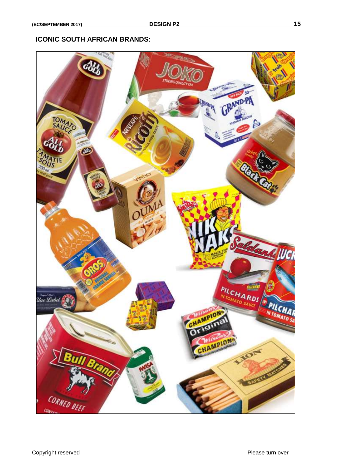#### **ICONIC SOUTH AFRICAN BRANDS:**

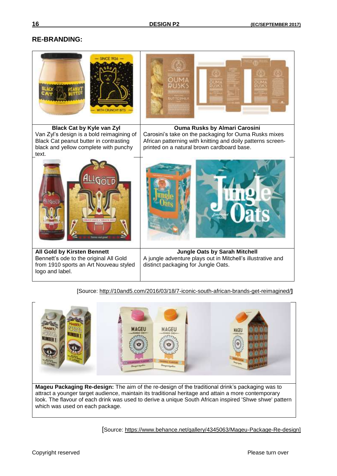#### **RE-BRANDING:**

| <b>Black Cat by Kyle van Zyl</b>                                                                                                   | <b>Ouma Rusks by Almari Carosini</b>                                                                                                       |
|------------------------------------------------------------------------------------------------------------------------------------|--------------------------------------------------------------------------------------------------------------------------------------------|
| Van Zyl's design is a bold reimagining of                                                                                          | Carosini's take on the packaging for Ouma Rusks mixes                                                                                      |
| Black Cat peanut butter in contrasting                                                                                             | African patterning with knitting and doily patterns screen-                                                                                |
| black and yellow complete with punchy<br>text.                                                                                     | printed on a natural brown cardboard base.                                                                                                 |
|                                                                                                                                    |                                                                                                                                            |
| All Gold by Kirsten Bennett<br>Bennett's ode to the original All Gold<br>from 1910 sports an Art Nouveau styled<br>logo and label. | <b>Jungle Oats by Sarah Mitchell</b><br>A jungle adventure plays out in Mitchell's illustrative and<br>distinct packaging for Jungle Oats. |

[Source:<http://10and5.com/2016/03/18/7-iconic-south-african-brands-get-reimagined/>**]**



**Mageu Packaging Re-design:** The aim of the re-design of the traditional drink's packaging was to attract a younger target audience, maintain its traditional heritage and attain a more contemporary look. The flavour of each drink was used to derive a unique South African inspired 'Shwe shwe' pattern which was used on each package.

[Source: [https://www.behance.net/gallery/4345063/Mageu-Package-Re-design\]](https://www.behance.net/gallery/4345063/Mageu-Package-Re-design)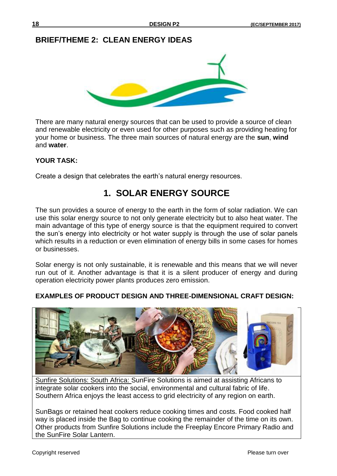# **BRIEF/THEME 2: CLEAN ENERGY IDEAS**



There are many natural energy sources that can be used to provide a source of clean and renewable electricity or even used for other purposes such as providing heating for your home or business. The three main sources of natural energy are the **sun**, **wind** and **water**.

## **YOUR TASK:**

Create a design that celebrates the earth's natural energy resources.

# **1. SOLAR ENERGY SOURCE**

The sun provides a source of energy to the earth in the form of solar radiation. We can use this solar energy source to not only generate electricity but to also heat water. The main advantage of this type of energy source is that the equipment required to convert the sun's energy into electricity or hot water supply is through the use of solar panels which results in a reduction or even elimination of energy bills in some cases for homes or businesses.

Solar energy is not only sustainable, it is renewable and this means that we will never run out of it. Another advantage is that it is a silent producer of energy and during operation electricity power plants produces zero emission.

## **EXAMPLES OF PRODUCT DESIGN AND THREE-DIMENSIONAL CRAFT DESIGN:**



Sunfire Solutions: South Africa: SunFire Solutions is aimed at assisting Africans to integrate solar cookers into the social, environmental and cultural fabric of life. Southern Africa enjoys the least access to grid electricity of any region on earth.

SunBags or retained heat cookers reduce cooking times and costs. Food cooked half way is placed inside the Bag to continue cooking the remainder of the time on its own. Other products from Sunfire Solutions include the Freeplay Encore Primary Radio and the SunFire Solar Lantern.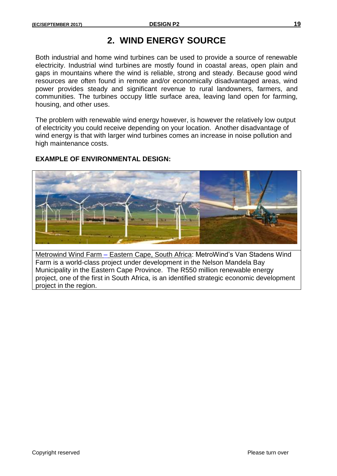# **2. WIND ENERGY SOURCE**

Both industrial and home wind turbines can be used to provide a source of renewable electricity. Industrial wind turbines are mostly found in coastal areas, open plain and gaps in mountains where the wind is reliable, strong and steady. Because good wind resources are often found in remote and/or economically disadvantaged areas, wind power provides steady and significant revenue to rural landowners, farmers, and communities. The turbines occupy little surface area, leaving land open for farming, housing, and other uses.

The problem with renewable wind energy however, is however the relatively low output of electricity you could receive depending on your location. Another disadvantage of wind energy is that with larger wind turbines comes an increase in noise pollution and high maintenance costs.

## **EXAMPLE OF ENVIRONMENTAL DESIGN:**



Metrowind Wind Farm – Eastern Cape, South Africa: MetroWind's Van Stadens Wind Farm is a world-class project under development in the Nelson Mandela Bay Municipality in the Eastern Cape Province. The R550 million renewable energy project, one of the first in South Africa, is an identified strategic economic development project in the region.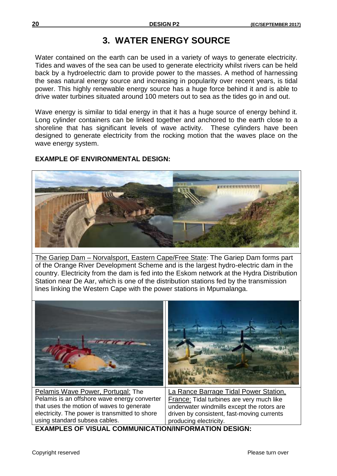# **3. WATER ENERGY SOURCE**

Water contained on the earth can be used in a variety of ways to generate electricity. Tides and waves of the sea can be used to generate electricity whilst rivers can be held back by a hydroelectric dam to provide power to the masses. A method of harnessing the seas natural energy source and increasing in popularity over recent years, is tidal power. This highly renewable energy source has a huge force behind it and is able to drive water turbines situated around 100 meters out to sea as the tides go in and out.

Wave energy is similar to tidal energy in that it has a huge source of energy behind it. Long cylinder containers can be linked together and anchored to the earth close to a shoreline that has significant levels of wave activity. These cylinders have been designed to generate electricity from the rocking motion that the waves place on the wave energy system.

# **EXAMPLE OF ENVIRONMENTAL DESIGN:**



The Gariep Dam – Norvalsport, Eastern Cape/Free State: The Gariep Dam forms part of the Orange River Development Scheme and is the largest hydro-electric dam in the country. Electricity from the dam is fed into the Eskom network at the Hydra Distribution Station near De Aar, which is one of the distribution stations fed by the transmission lines linking the Western Cape with the power stations in Mpumalanga.



Pelamis is an offshore wave energy converter that uses the motion of waves to generate electricity. The power is transmitted to shore using standard subsea cables.

France: Tidal turbines are very much like underwater windmills except the rotors are driven by consistent, fast-moving currents producing electricity.

**EXAMPLES OF VISUAL COMMUNICATION/INFORMATION DESIGN:**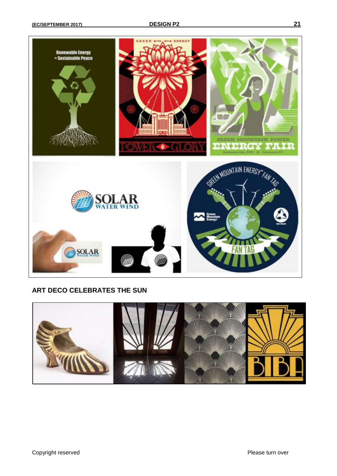

#### **ART DECO CELEBRATES THE SUN**